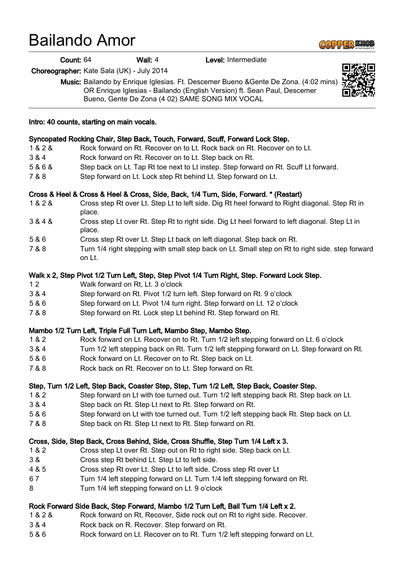# Bailando Amor

Count: 64 Wall: 4 Level: Intermediate

Choreographer: Kate Sala (UK) - July 2014

Music: Bailando by Enrique Iglesias. Ft. Descemer Bueno &Gente De Zona. (4:02 mins) OR Enrique Iglesias - Bailando (English Version) ft. Sean Paul, Descemer Bueno, Gente De Zona (4 02) SAME SONG MIX VOCAL

#### Intro: 40 counts, starting on main vocals.

#### Syncopated Rocking Chair, Step Back, Touch, Forward, Scuff, Forward Lock Step.

- 1 & 2 & Rock forward on Rt. Recover on to Lt. Rock back on Rt. Recover on to Lt.
- 3 & 4 Rock forward on Rt. Recover on to Lt. Step back on Rt.
- 5 & 6 & Step back on Lt. Tap Rt toe next to Lt instep. Step forward on Rt. Scuff Lt forward.
- 7 & 8 Step forward on Lt. Lock step Rt behind Lt. Step forward on Lt.

# Cross & Heel & Cross & Heel & Cross, Side, Back, 1/4 Turn, Side, Forward. \* (Restart)

- 1 & 2 & Cross step Rt over Lt. Step Lt to left side. Dig Rt heel forward to Right diagonal. Step Rt in place.
- 3 & 4 & Cross step Lt over Rt. Step Rt to right side. Dig Lt heel forward to left diagonal. Step Lt in place.
- 5 & 6 Cross step Rt over Lt. Step Lt back on left diagonal. Step back on Rt.
- 7 & 8 Turn 1/4 right stepping with small step back on Lt. Small step on Rt to right side. step forward on Lt.

# Walk x 2, Step Pivot 1/2 Turn Left, Step, Step Pivot 1/4 Turn Right, Step. Forward Lock Step.

- 1 2 Walk forward on Rt, Lt. 3 o'clock
- 3 & 4 Step forward on Rt. Pivot 1/2 turn left. Step forward on Rt. 9 o'clock
- 5 & 6 Step forward on Lt. Pivot 1/4 turn right. Step forward on Lt. 12 o'clock
- 7 & 8 Step forward on Rt. Lock step Lt behind Rt. Step forward on Rt.

#### Mambo 1/2 Turn Left, Triple Full Turn Left, Mambo Step, Mambo Step.

- 1 & 2 Rock forward on Lt. Recover on to Rt. Turn 1/2 left stepping forward on Lt. 6 o'clock
- 3 & 4 Turn 1/2 left stepping back on Rt. Turn 1/2 left stepping forward on Lt. Step forward on Rt.
- 5 & 6 Rock forward on Lt. Recover on to Rt. Step back on Lt.
- 7 & 8 Rock back on Rt. Recover on to Lt. Step forward on Rt.

# Step, Turn 1/2 Left, Step Back, Coaster Step, Step, Turn 1/2 Left, Step Back, Coaster Step.

- 1 & 2 Step forward on Lt with toe turned out. Turn 1/2 left stepping back Rt. Step back on Lt.
- 3 & 4 Step back on Rt. Step Lt next to Rt. Step forward on Rt.
- 5 & 6 Step forward on Lt with toe turned out. Turn 1/2 left stepping back Rt. Step back on Lt.
- 7 & 8 Step back on Rt. Step Lt next to Rt. Step forward on Rt.

### Cross, Side, Step Back, Cross Behind, Side, Cross Shuffle, Step Turn 1/4 Left x 3.

- 1 & 2 Cross step Lt over Rt. Step out on Rt to right side. Step back on Lt.
- 3 & Cross step Rt behind Lt. Step Lt to left side.
- 4 & 5 Cross step Rt over Lt. Step Lt to left side. Cross step Rt over Lt
- 6 7 Turn 1/4 left stepping forward on Lt. Turn 1/4 left stepping forward on Rt.
- 8 Turn 1/4 left stepping forward on Lt. 9 o'clock

# Rock Forward Side Back, Step Forward, Mambo 1/2 Turn Left, Ball Turn 1/4 Left x 2.

- 1 & 2 & Rock forward on Rt, Recover, Side rock out on Rt to right side. Recover.
- 3 & 4 Rock back on R. Recover. Step forward on Rt.
- 5 & 6 Rock forward on Lt. Recover on to Rt. Turn 1/2 left stepping forward on Lt.